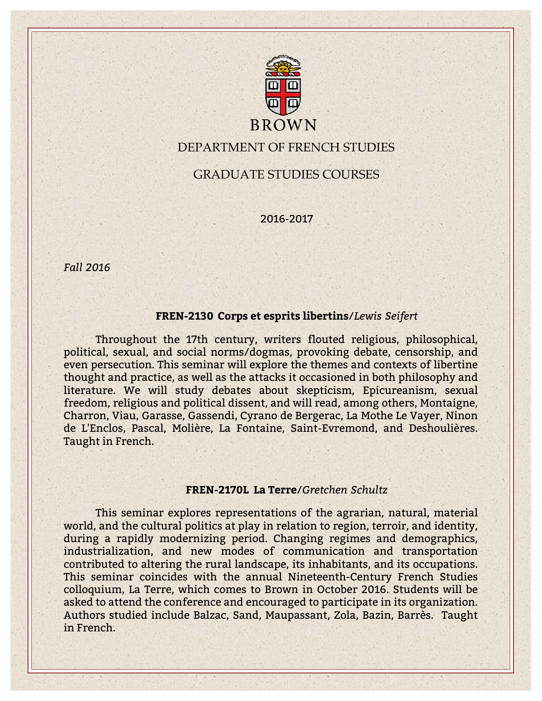

# DEPARTMENT OF FRENCH STUDIES

GRADUATE STUDIES COURSES

2016-2017

*Fall 2016*

## **FREN-2130 Corps et esprits libertins**/*Lewis Seifert*

Throughout the 17th century, writers flouted religious, philosophical, political, sexual, and social norms/dogmas, provoking debate, censorship, and even persecution. This seminar will explore the themes and contexts of libertine thought and practice, as well as the attacks it occasioned in both philosophy and literature. We will study debates about skepticism, Epicureanism, sexual freedom, religious and political dissent, and will read, among others, Montaigne, Charron, Viau, Garasse, Gassendi, Cyrano de Bergerac, La Mothe Le Vayer, Ninon de L'Enclos, Pascal, Molière, La Fontaine, Saint-Evremond, and Deshoulières. Taught in French.

#### **FREN-2170L La Terre**/*Gretchen Schultz*

This seminar explores representations of the agrarian, natural, material world, and the cultural politics at play in relation to region, terroir, and identity, during a rapidly modernizing period. Changing regimes and demographics, industrialization, and new modes of communication and transportation contributed to altering the rural landscape, its inhabitants, and its occupations. This seminar coincides with the annual Nineteenth-Century French Studies colloquium, La Terre, which comes to Brown in October 2016. Students will be asked to attend the conference and encouraged to participate in its organization. Authors studied include Balzac, Sand, Maupassant, Zola, Bazin, Barrès. Taught in French.